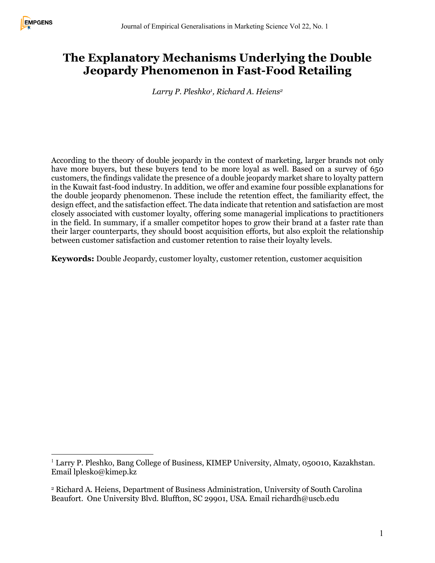# **The Explanatory Mechanisms Underlying the Double Jeopardy Phenomenon in Fast-Food Retailing**

*Larry P. Pleshko1, Richard A. Heiens2*

According to the theory of double jeopardy in the context of marketing, larger brands not only have more buyers, but these buyers tend to be more loyal as well. Based on a survey of 650 customers, the findings validate the presence of a double jeopardy market share to loyalty pattern in the Kuwait fast-food industry. In addition, we offer and examine four possible explanations for the double jeopardy phenomenon. These include the retention effect, the familiarity effect, the design effect, and the satisfaction effect. The data indicate that retention and satisfaction are most closely associated with customer loyalty, offering some managerial implications to practitioners in the field. In summary, if a smaller competitor hopes to grow their brand at a faster rate than their larger counterparts, they should boost acquisition efforts, but also exploit the relationship between customer satisfaction and customer retention to raise their loyalty levels.

**Keywords:** Double Jeopardy, customer loyalty, customer retention, customer acquisition

<sup>&</sup>lt;sup>1</sup> Larry P. Pleshko, Bang College of Business, KIMEP University, Almaty, 050010, Kazakhstan. Email lplesko@kimep.kz

<sup>2</sup> Richard A. Heiens, Department of Business Administration, University of South Carolina Beaufort. One University Blvd. Bluffton, SC 29901, USA. Email richardh@uscb.edu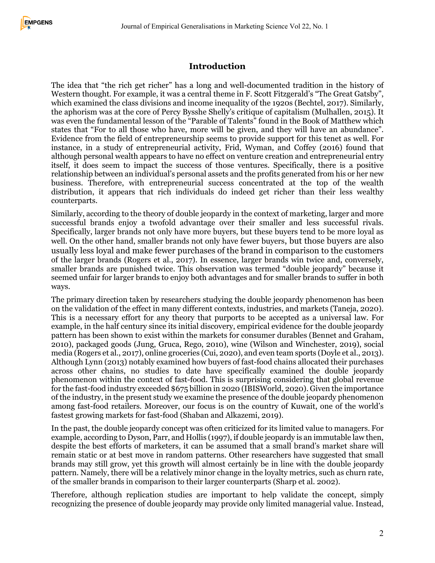## **Introduction**

The idea that "the rich get richer" has a long and well-documented tradition in the history of Western thought. For example, it was a central theme in F. Scott Fitzgerald's "The Great Gatsby", which examined the class divisions and income inequality of the 1920s (Bechtel, 2017). Similarly, the aphorism was at the core of Percy Bysshe Shelly's critique of capitalism (Mulhallen, 2015). It was even the fundamental lesson of the "Parable of Talents" found in the Book of Matthew which states that "For to all those who have, more will be given, and they will have an abundance". Evidence from the field of entrepreneurship seems to provide support for this tenet as well. For instance, in a study of entrepreneurial activity, Frid, Wyman, and Coffey (2016) found that although personal wealth appears to have no effect on venture creation and entrepreneurial entry itself, it does seem to impact the success of those ventures. Specifically, there is a positive relationship between an individual's personal assets and the profits generated from his or her new business. Therefore, with entrepreneurial success concentrated at the top of the wealth distribution, it appears that rich individuals do indeed get richer than their less wealthy counterparts.

Similarly, according to the theory of double jeopardy in the context of marketing, larger and more successful brands enjoy a twofold advantage over their smaller and less successful rivals. Specifically, larger brands not only have more buyers, but these buyers tend to be more loyal as well. On the other hand, smaller brands not only have fewer buyers, but those buyers are also usually less loyal and make fewer purchases of the brand in comparison to the customers of the larger brands (Rogers et al., 2017). In essence, larger brands win twice and, conversely, smaller brands are punished twice. This observation was termed "double jeopardy" because it seemed unfair for larger brands to enjoy both advantages and for smaller brands to suffer in both ways.

The primary direction taken by researchers studying the double jeopardy phenomenon has been on the validation of the effect in many different contexts, industries, and markets (Taneja, 2020). This is a necessary effort for any theory that purports to be accepted as a universal law. For example, in the half century since its initial discovery, empirical evidence for the double jeopardy pattern has been shown to exist within the markets for consumer durables (Bennet and Graham, 2010), packaged goods (Jung, Gruca, Rego, 2010), wine (Wilson and Winchester, 2019), social media (Rogers et al., 2017), online groceries (Cui, 2020), and even team sports (Doyle et al., 2013). Although Lynn (2013) notably examined how buyers of fast-food chains allocated their purchases across other chains, no studies to date have specifically examined the double jeopardy phenomenon within the context of fast-food. This is surprising considering that global revenue for the fast-food industry exceeded \$675 billion in 2020 (IBISWorld, 2020). Given the importance of the industry, in the present study we examine the presence of the double jeopardy phenomenon among fast-food retailers. Moreover, our focus is on the country of Kuwait, one of the world's fastest growing markets for fast-food (Shaban and Alkazemi, 2019).

In the past, the double jeopardy concept was often criticized for its limited value to managers. For example, according to Dyson, Parr, and Hollis (1997), if double jeopardy is an immutable law then, despite the best efforts of marketers, it can be assumed that a small brand's market share will remain static or at best move in random patterns. Other researchers have suggested that small brands may still grow, yet this growth will almost certainly be in line with the double jeopardy pattern. Namely, there will be a relatively minor change in the loyalty metrics, such as churn rate, of the smaller brands in comparison to their larger counterparts (Sharp et al. 2002).

Therefore, although replication studies are important to help validate the concept, simply recognizing the presence of double jeopardy may provide only limited managerial value. Instead,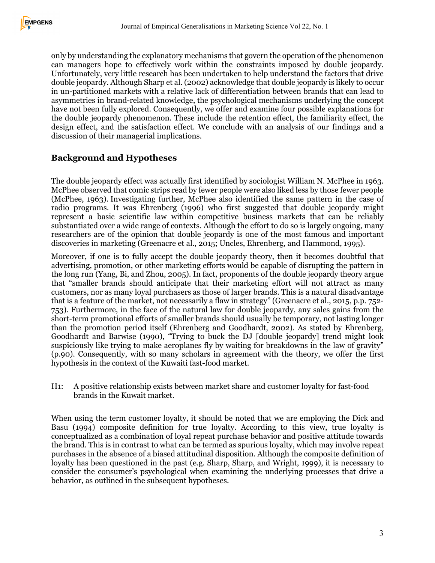only by understanding the explanatory mechanisms that govern the operation of the phenomenon can managers hope to effectively work within the constraints imposed by double jeopardy. Unfortunately, very little research has been undertaken to help understand the factors that drive double jeopardy. Although Sharp et al. (2002) acknowledge that double jeopardy is likely to occur in un-partitioned markets with a relative lack of differentiation between brands that can lead to asymmetries in brand-related knowledge, the psychological mechanisms underlying the concept have not been fully explored. Consequently, we offer and examine four possible explanations for the double jeopardy phenomenon. These include the retention effect, the familiarity effect, the design effect, and the satisfaction effect. We conclude with an analysis of our findings and a discussion of their managerial implications.

#### **Background and Hypotheses**

The double jeopardy effect was actually first identified by sociologist William N. McPhee in 1963. McPhee observed that comic strips read by fewer people were also liked less by those fewer people (McPhee, 1963). Investigating further, McPhee also identified the same pattern in the case of radio programs. It was Ehrenberg (1996) who first suggested that double jeopardy might represent a basic scientific law within competitive business markets that can be reliably substantiated over a wide range of contexts. Although the effort to do so is largely ongoing, many researchers are of the opinion that double jeopardy is one of the most famous and important discoveries in marketing (Greenacre et al., 2015; Uncles, Ehrenberg, and Hammond, 1995).

Moreover, if one is to fully accept the double jeopardy theory, then it becomes doubtful that advertising, promotion, or other marketing efforts would be capable of disrupting the pattern in the long run (Yang, Bi, and Zhou, 2005). In fact, proponents of the double jeopardy theory argue that "smaller brands should anticipate that their marketing effort will not attract as many customers, nor as many loyal purchasers as those of larger brands. This is a natural disadvantage that is a feature of the market, not necessarily a flaw in strategy" (Greenacre et al., 2015, p.p. 752- 753). Furthermore, in the face of the natural law for double jeopardy, any sales gains from the short-term promotional efforts of smaller brands should usually be temporary, not lasting longer than the promotion period itself (Ehrenberg and Goodhardt, 2002). As stated by Ehrenberg, Goodhardt and Barwise (1990), "Trying to buck the DJ [double jeopardy] trend might look suspiciously like trying to make aeroplanes fly by waiting for breakdowns in the law of gravity" (p.90). Consequently, with so many scholars in agreement with the theory, we offer the first hypothesis in the context of the Kuwaiti fast-food market.

H1: A positive relationship exists between market share and customer loyalty for fast-food brands in the Kuwait market.

When using the term customer loyalty, it should be noted that we are employing the Dick and Basu (1994) composite definition for true loyalty. According to this view, true loyalty is conceptualized as a combination of loyal repeat purchase behavior and positive attitude towards the brand. This is in contrast to what can be termed as spurious loyalty, which may involve repeat purchases in the absence of a biased attitudinal disposition. Although the composite definition of loyalty has been questioned in the past (e.g. Sharp, Sharp, and Wright, 1999), it is necessary to consider the consumer's psychological when examining the underlying processes that drive a behavior, as outlined in the subsequent hypotheses.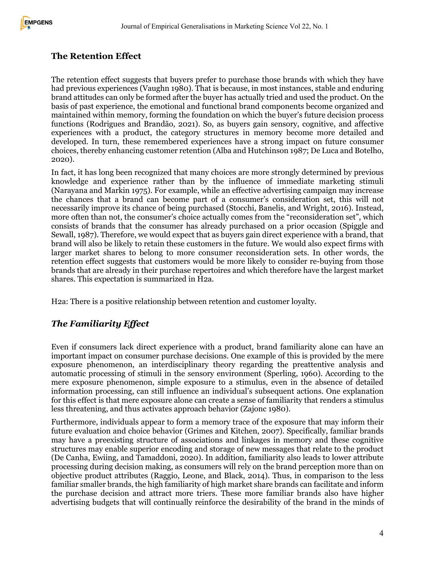# **The Retention Effect**

The retention effect suggests that buyers prefer to purchase those brands with which they have had previous experiences (Vaughn 1980). That is because, in most instances, stable and enduring brand attitudes can only be formed after the buyer has actually tried and used the product. On the basis of past experience, the emotional and functional brand components become organized and maintained within memory, forming the foundation on which the buyer's future decision process functions (Rodrigues and Brandão, 2021). So, as buyers gain sensory, cognitive, and affective experiences with a product, the category structures in memory become more detailed and developed. In turn, these remembered experiences have a strong impact on future consumer choices, thereby enhancing customer retention (Alba and Hutchinson 1987; De Luca and Botelho, 2020).

In fact, it has long been recognized that many choices are more strongly determined by previous knowledge and experience rather than by the influence of immediate marketing stimuli (Narayana and Markin 1975). For example, while an effective advertising campaign may increase the chances that a brand can become part of a consumer's consideration set, this will not necessarily improve its chance of being purchased (Stocchi, Banelis, and Wright, 2016). Instead, more often than not, the consumer's choice actually comes from the "reconsideration set", which consists of brands that the consumer has already purchased on a prior occasion (Spiggle and Sewall, 1987). Therefore, we would expect that as buyers gain direct experience with a brand, that brand will also be likely to retain these customers in the future. We would also expect firms with larger market shares to belong to more consumer reconsideration sets. In other words, the retention effect suggests that customers would be more likely to consider re-buying from those brands that are already in their purchase repertoires and which therefore have the largest market shares. This expectation is summarized in H2a.

H2a: There is a positive relationship between retention and customer loyalty.

## *The Familiarity Effect*

Even if consumers lack direct experience with a product, brand familiarity alone can have an important impact on consumer purchase decisions. One example of this is provided by the mere exposure phenomenon, an interdisciplinary theory regarding the preattentive analysis and automatic processing of stimuli in the sensory environment (Sperling, 1960). According to the mere exposure phenomenon, simple exposure to a stimulus, even in the absence of detailed information processing, can still influence an individual's subsequent actions. One explanation for this effect is that mere exposure alone can create a sense of familiarity that renders a stimulus less threatening, and thus activates approach behavior (Zajonc 1980).

Furthermore, individuals appear to form a memory trace of the exposure that may inform their future evaluation and choice behavior (Grimes and Kitchen, 2007). Specifically, familiar brands may have a preexisting structure of associations and linkages in memory and these cognitive structures may enable superior encoding and storage of new messages that relate to the product (De Canha, Ewiing, and Tamaddoni, 2020). In addition, familiarity also leads to lower attribute processing during decision making, as consumers will rely on the brand perception more than on objective product attributes (Raggio, Leone, and Black, 2014). Thus, in comparison to the less familiar smaller brands, the high familiarity of high market share brands can facilitate and inform the purchase decision and attract more triers. These more familiar brands also have higher advertising budgets that will continually reinforce the desirability of the brand in the minds of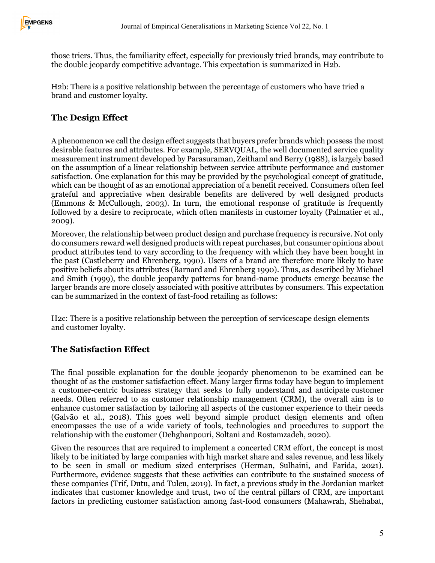

those triers. Thus, the familiarity effect, especially for previously tried brands, may contribute to the double jeopardy competitive advantage. This expectation is summarized in H2b.

H2b: There is a positive relationship between the percentage of customers who have tried a brand and customer loyalty.

# **The Design Effect**

A phenomenon we call the design effect suggests that buyers prefer brands which possess the most desirable features and attributes. For example, SERVQUAL, the well documented service quality measurement instrument developed by Parasuraman, Zeithaml and Berry (1988), is largely based on the assumption of a linear relationship between service attribute performance and customer satisfaction. One explanation for this may be provided by the psychological concept of gratitude, which can be thought of as an emotional appreciation of a benefit received. Consumers often feel grateful and appreciative when desirable benefits are delivered by well designed products (Emmons & McCullough, 2003). In turn, the emotional response of gratitude is frequently followed by a desire to reciprocate, which often manifests in customer loyalty (Palmatier et al., 2009).

Moreover, the relationship between product design and purchase frequency is recursive. Not only do consumers reward well designed products with repeat purchases, but consumer opinions about product attributes tend to vary according to the frequency with which they have been bought in the past (Castleberry and Ehrenberg, 1990). Users of a brand are therefore more likely to have positive beliefs about its attributes (Barnard and Ehrenberg 1990). Thus, as described by Michael and Smith (1999), the double jeopardy patterns for brand-name products emerge because the larger brands are more closely associated with positive attributes by consumers. This expectation can be summarized in the context of fast-food retailing as follows:

H2c: There is a positive relationship between the perception of servicescape design elements and customer loyalty.

#### **The Satisfaction Effect**

The final possible explanation for the double jeopardy phenomenon to be examined can be thought of as the customer satisfaction effect. Many larger firms today have begun to implement a customer-centric business strategy that seeks to fully understand and anticipate customer needs. Often referred to as customer relationship management (CRM), the overall aim is to enhance customer satisfaction by tailoring all aspects of the customer experience to their needs (Galvão et al., 2018). This goes well beyond simple product design elements and often encompasses the use of a wide variety of tools, technologies and procedures to support the relationship with the customer (Dehghanpouri, Soltani and Rostamzadeh, 2020).

Given the resources that are required to implement a concerted CRM effort, the concept is most likely to be initiated by large companies with high market share and sales revenue, and less likely to be seen in small or medium sized enterprises (Herman, Sulhaini, and Farida, 2021). Furthermore, evidence suggests that these activities can contribute to the sustained success of these companies (Trif, Dutu, and Tuleu, 2019). In fact, a previous study in the Jordanian market indicates that customer knowledge and trust, two of the central pillars of CRM, are important factors in predicting customer satisfaction among fast-food consumers (Mahawrah, Shehabat,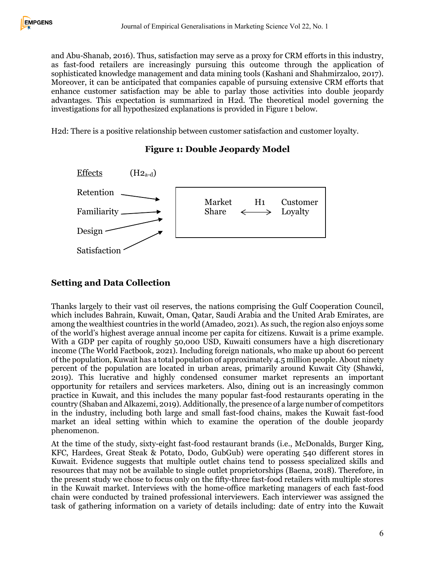and Abu-Shanab, 2016). Thus, satisfaction may serve as a proxy for CRM efforts in this industry, as fast-food retailers are increasingly pursuing this outcome through the application of sophisticated knowledge management and data mining tools (Kashani and Shahmirzaloo, 2017). Moreover, it can be anticipated that companies capable of pursuing extensive CRM efforts that enhance customer satisfaction may be able to parlay those activities into double jeopardy advantages. This expectation is summarized in H2d. The theoretical model governing the investigations for all hypothesized explanations is provided in Figure 1 below.

H2d: There is a positive relationship between customer satisfaction and customer loyalty.



#### **Figure 1: Double Jeopardy Model**

### **Setting and Data Collection**

Thanks largely to their vast oil reserves, the nations comprising the Gulf Cooperation Council, which includes Bahrain, Kuwait, Oman, Qatar, Saudi Arabia and the United Arab Emirates, are among the wealthiest countries in the world (Amadeo, 2021). As such, the region also enjoys some of the world's highest average annual income per capita for citizens. Kuwait is a prime example. With a GDP per capita of roughly 50,000 USD, Kuwaiti consumers have a high discretionary income (The World Factbook, 2021). Including foreign nationals, who make up about 60 percent of the population, Kuwait has a total population of approximately 4.5 million people. About ninety percent of the population are located in urban areas, primarily around Kuwait City (Shawki, 2019). This lucrative and highly condensed consumer market represents an important opportunity for retailers and services marketers. Also, dining out is an increasingly common practice in Kuwait, and this includes the many popular fast-food restaurants operating in the country (Shaban and Alkazemi, 2019). Additionally, the presence of a large number of competitors in the industry, including both large and small fast-food chains, makes the Kuwait fast-food market an ideal setting within which to examine the operation of the double jeopardy phenomenon.

At the time of the study, sixty-eight fast-food restaurant brands (i.e., McDonalds, Burger King, KFC, Hardees, Great Steak & Potato, Dodo, GubGub) were operating 540 different stores in Kuwait. Evidence suggests that multiple outlet chains tend to possess specialized skills and resources that may not be available to single outlet proprietorships (Baena, 2018). Therefore, in the present study we chose to focus only on the fifty-three fast-food retailers with multiple stores in the Kuwait market. Interviews with the home-office marketing managers of each fast-food chain were conducted by trained professional interviewers. Each interviewer was assigned the task of gathering information on a variety of details including: date of entry into the Kuwait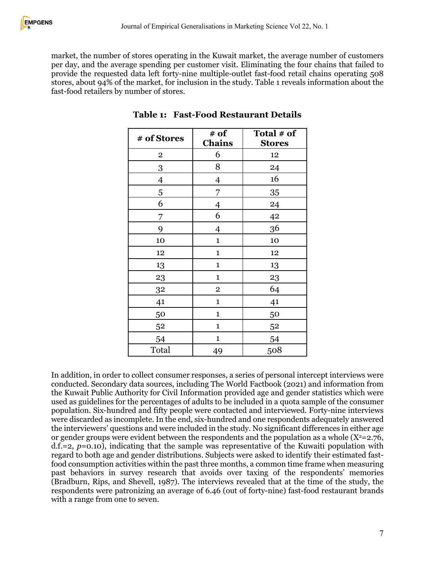market, the number of stores operating in the Kuwait market, the average number of customers per day, and the average spending per customer visit. Eliminating the four chains that failed to provide the requested data left forty-nine multiple-outlet fast-food retail chains operating 508 stores, about 94% of the market, for inclusion in the study. Table 1 reveals information about the fast-food retailers by number of stores.

| # of Stores    | # of                    | Total # of    |  |  |
|----------------|-------------------------|---------------|--|--|
|                | <b>Chains</b>           | <b>Stores</b> |  |  |
| $\overline{2}$ | 6                       | 12            |  |  |
| 3              | 8                       | 24            |  |  |
| $\overline{4}$ | $\overline{4}$          | 16            |  |  |
| 5              | 7                       | 35            |  |  |
| 6              | $\overline{4}$          | 24            |  |  |
| 7              | 6                       | 42            |  |  |
| 9              | $\overline{4}$          | 36            |  |  |
| 10             | $\mathbf 1$             | 10            |  |  |
| 12             | $\mathbf{1}$            | 12            |  |  |
| 13             | $\mathbf{1}$            | 13            |  |  |
| 23             | $\mathbf{1}$            | 23            |  |  |
| 32             | $\overline{\mathbf{2}}$ | 64            |  |  |
| 41             | $\mathbf{1}$            | 41            |  |  |
| 50             | $\mathbf{1}$            | 50            |  |  |
| 52             | $\mathbf{1}$            | 52            |  |  |
| 54             | $\mathbf{1}$            | 54            |  |  |
| Total          | 49                      | 508           |  |  |

**Table 1: Fast-Food Restaurant Details**

In addition, in order to collect consumer responses, a series of personal intercept interviews were conducted. Secondary data sources, including The World Factbook (2021) and information from the Kuwait Public Authority for Civil Information provided age and gender statistics which were used as guidelines for the percentages of adults to be included in a quota sample of the consumer population. Six-hundred and fifty people were contacted and interviewed. Forty-nine interviews were discarded as incomplete. In the end, six-hundred and one respondents adequately answered the interviewers' questions and were included in the study. No significant differences in either age or gender groups were evident between the respondents and the population as a whole  $(X^2=2.76,$  $d.f.=2, p=0.10$ , indicating that the sample was representative of the Kuwaiti population with regard to both age and gender distributions. Subjects were asked to identify their estimated fastfood consumption activities within the past three months, a common time frame when measuring past behaviors in survey research that avoids over taxing of the respondents' memories (Bradburn, Rips, and Shevell, 1987). The interviews revealed that at the time of the study, the respondents were patronizing an average of 6.46 (out of forty-nine) fast-food restaurant brands with a range from one to seven.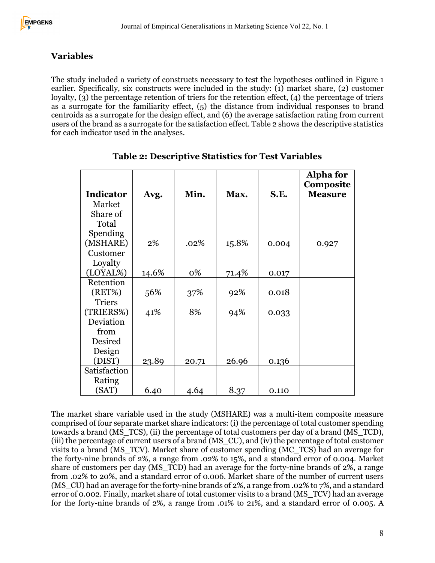### **Variables**

The study included a variety of constructs necessary to test the hypotheses outlined in Figure 1 earlier. Specifically, six constructs were included in the study: (1) market share, (2) customer loyalty, (3) the percentage retention of triers for the retention effect, (4) the percentage of triers as a surrogate for the familiarity effect, (5) the distance from individual responses to brand centroids as a surrogate for the design effect, and (6) the average satisfaction rating from current users of the brand as a surrogate for the satisfaction effect. Table 2 shows the descriptive statistics for each indicator used in the analyses.

|                  |       |       |       |       | <b>Alpha for</b><br>Composite |
|------------------|-------|-------|-------|-------|-------------------------------|
| <b>Indicator</b> | Avg.  | Min.  | Max.  | S.E.  | <b>Measure</b>                |
| Market           |       |       |       |       |                               |
| Share of         |       |       |       |       |                               |
| Total            |       |       |       |       |                               |
| Spending         |       |       |       |       |                               |
| (MSHARE)         | 2%    | .02%  | 15.8% | 0.004 | 0.927                         |
| Customer         |       |       |       |       |                               |
| Loyalty          |       |       |       |       |                               |
| (LOYAL%)         | 14.6% | 0%    | 71.4% | 0.017 |                               |
| Retention        |       |       |       |       |                               |
| (RET%)           | 56%   | 37%   | 92%   | 0.018 |                               |
| <b>Triers</b>    |       |       |       |       |                               |
| (TRIERS%)        | 41%   | 8%    | 94%   | 0.033 |                               |
| Deviation        |       |       |       |       |                               |
| from             |       |       |       |       |                               |
| Desired          |       |       |       |       |                               |
| Design           |       |       |       |       |                               |
| (DIST)           | 23.89 | 20.71 | 26.96 | 0.136 |                               |
| Satisfaction     |       |       |       |       |                               |
| Rating           |       |       |       |       |                               |
| (SAT)            | 6.40  | 4.64  | 8.37  | 0.110 |                               |

**Table 2: Descriptive Statistics for Test Variables**

The market share variable used in the study (MSHARE) was a multi-item composite measure comprised of four separate market share indicators: (i) the percentage of total customer spending towards a brand (MS\_TCS), (ii) the percentage of total customers per day of a brand (MS\_TCD), (iii) the percentage of current users of a brand (MS\_CU), and (iv) the percentage of total customer visits to a brand (MS\_TCV). Market share of customer spending (MC\_TCS) had an average for the forty-nine brands of 2%, a range from .02% to 15%, and a standard error of 0.004. Market share of customers per day (MS TCD) had an average for the forty-nine brands of 2%, a range from .02% to 20%, and a standard error of 0.006. Market share of the number of current users (MS CU) had an average for the forty-nine brands of 2%, a range from .02% to 7%, and a standard error of 0.002. Finally, market share of total customer visits to a brand (MS\_TCV) had an average for the forty-nine brands of 2%, a range from .01% to 21%, and a standard error of 0.005. A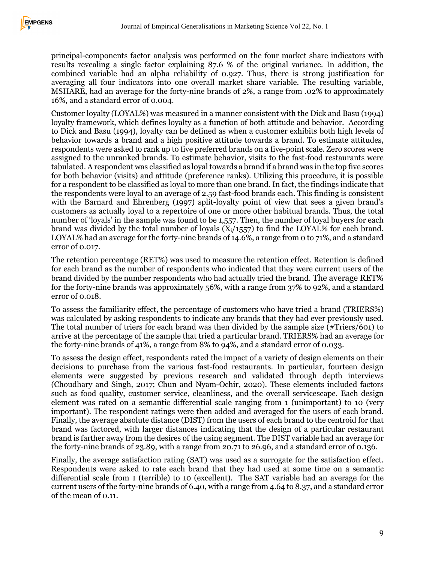principal-components factor analysis was performed on the four market share indicators with results revealing a single factor explaining 87.6 % of the original variance. In addition, the combined variable had an alpha reliability of 0.927. Thus, there is strong justification for averaging all four indicators into one overall market share variable. The resulting variable, MSHARE, had an average for the forty-nine brands of 2%, a range from .02% to approximately 16%, and a standard error of 0.004.

Customer loyalty (LOYAL%) was measured in a manner consistent with the Dick and Basu (1994) loyalty framework, which defines loyalty as a function of both attitude and behavior. According to Dick and Basu (1994), loyalty can be defined as when a customer exhibits both high levels of behavior towards a brand and a high positive attitude towards a brand. To estimate attitudes, respondents were asked to rank up to five preferred brands on a five-point scale. Zero scores were assigned to the unranked brands. To estimate behavior, visits to the fast-food restaurants were tabulated. A respondent was classified as loyal towards a brand if a brand was in the top five scores for both behavior (visits) and attitude (preference ranks). Utilizing this procedure, it is possible for a respondent to be classified as loyal to more than one brand. In fact, the findings indicate that the respondents were loyal to an average of 2.59 fast-food brands each. This finding is consistent with the Barnard and Ehrenberg (1997) split-loyalty point of view that sees a given brand's customers as actually loyal to a repertoire of one or more other habitual brands. Thus, the total number of 'loyals' in the sample was found to be 1,557. Then, the number of loyal buyers for each brand was divided by the total number of loyals  $(X_i/1557)$  to find the LOYAL% for each brand. LOYAL% had an average for the forty-nine brands of 14.6%, a range from 0 to 71%, and a standard error of 0.017.

The retention percentage (RET%) was used to measure the retention effect. Retention is defined for each brand as the number of respondents who indicated that they were current users of the brand divided by the number respondents who had actually tried the brand. The average RET% for the forty-nine brands was approximately 56%, with a range from 37% to 92%, and a standard error of 0.018.

To assess the familiarity effect, the percentage of customers who have tried a brand (TRIERS%) was calculated by asking respondents to indicate any brands that they had ever previously used. The total number of triers for each brand was then divided by the sample size (#Triers/601) to arrive at the percentage of the sample that tried a particular brand. TRIERS% had an average for the forty-nine brands of 41%, a range from 8% to 94%, and a standard error of 0.033.

To assess the design effect, respondents rated the impact of a variety of design elements on their decisions to purchase from the various fast-food restaurants. In particular, fourteen design elements were suggested by previous research and validated through depth interviews (Choudhary and Singh, 2017; Chun and Nyam-Ochir, 2020). These elements included factors such as food quality, customer service, cleanliness, and the overall servicescape. Each design element was rated on a semantic differential scale ranging from 1 (unimportant) to 10 (very important). The respondent ratings were then added and averaged for the users of each brand. Finally, the average absolute distance (DIST) from the users of each brand to the centroid for that brand was factored, with larger distances indicating that the design of a particular restaurant brand is farther away from the desires of the using segment. The DIST variable had an average for the forty-nine brands of 23.89, with a range from 20.71 to 26.96, and a standard error of 0.136.

Finally, the average satisfaction rating (SAT) was used as a surrogate for the satisfaction effect. Respondents were asked to rate each brand that they had used at some time on a semantic differential scale from 1 (terrible) to 10 (excellent). The SAT variable had an average for the current users of the forty-nine brands of 6.40, with a range from 4.64 to 8.37, and a standard error of the mean of 0.11.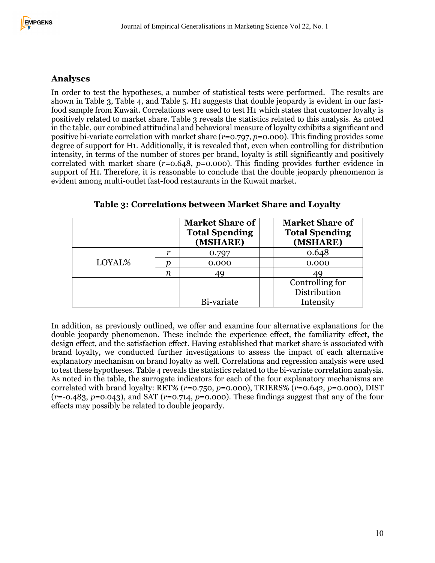#### **Analyses**

In order to test the hypotheses, a number of statistical tests were performed. The results are shown in Table 3, Table 4, and Table 5. H1 suggests that double jeopardy is evident in our fastfood sample from Kuwait. Correlations were used to test H1, which states that customer loyalty is positively related to market share. Table 3 reveals the statistics related to this analysis. As noted in the table, our combined attitudinal and behavioral measure of loyalty exhibits a significant and positive bi-variate correlation with market share (*r*=0.797, *p*=0.000). This finding provides some degree of support for H1. Additionally, it is revealed that, even when controlling for distribution intensity, in terms of the number of stores per brand, loyalty is still significantly and positively correlated with market share (*r*=0.648, *p*=0.000). This finding provides further evidence in support of H1. Therefore, it is reasonable to conclude that the double jeopardy phenomenon is evident among multi-outlet fast-food restaurants in the Kuwait market.

|        |   | <b>Market Share of</b><br><b>Total Spending</b><br>(MSHARE) | <b>Market Share of</b><br><b>Total Spending</b><br>(MSHARE) |
|--------|---|-------------------------------------------------------------|-------------------------------------------------------------|
| LOYAL% | r | $0.79^{r}$                                                  | 0.648                                                       |
|        |   | 0.000                                                       | 0.000                                                       |
|        | n | 49                                                          |                                                             |
|        |   |                                                             | Controlling for                                             |
|        |   |                                                             | Distribution                                                |
|        |   | Bi-variate                                                  | Intensity                                                   |

#### **Table 3: Correlations between Market Share and Loyalty**

In addition, as previously outlined, we offer and examine four alternative explanations for the double jeopardy phenomenon. These include the experience effect, the familiarity effect, the design effect, and the satisfaction effect. Having established that market share is associated with brand loyalty, we conducted further investigations to assess the impact of each alternative explanatory mechanism on brand loyalty as well. Correlations and regression analysis were used to test these hypotheses. Table 4 reveals the statistics related to the bi-variate correlation analysis. As noted in the table, the surrogate indicators for each of the four explanatory mechanisms are correlated with brand loyalty: RET% (*r*=0.750, *p*=0.000), TRIERS% (*r*=0.642, *p*=0.000), DIST (*r*=-0.483, *p*=0.043), and SAT (*r*=0.714, *p*=0.000). These findings suggest that any of the four effects may possibly be related to double jeopardy.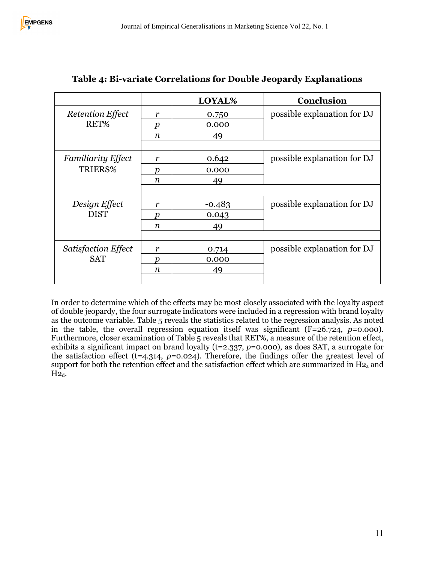|                            |                  | LOYAL%   | Conclusion                  |
|----------------------------|------------------|----------|-----------------------------|
| <b>Retention Effect</b>    | r                | 0.750    | possible explanation for DJ |
| RET%                       | n                | 0.000    |                             |
|                            | $\boldsymbol{n}$ | 49       |                             |
|                            |                  |          |                             |
| <b>Familiarity Effect</b>  | r                | 0.642    | possible explanation for DJ |
| TRIERS%                    | D                | 0.000    |                             |
|                            | n                | 49       |                             |
|                            |                  |          |                             |
| Design Effect              | r                | $-0.483$ | possible explanation for DJ |
| <b>DIST</b>                | Ŋ                | 0.043    |                             |
|                            | $\boldsymbol{n}$ | 49       |                             |
|                            |                  |          |                             |
| <b>Satisfaction Effect</b> | r                | 0.714    | possible explanation for DJ |
| <b>SAT</b>                 | n                | 0.000    |                             |
|                            | n                | 49       |                             |
|                            |                  |          |                             |

# **Table 4: Bi-variate Correlations for Double Jeopardy Explanations**

In order to determine which of the effects may be most closely associated with the loyalty aspect of double jeopardy, the four surrogate indicators were included in a regression with brand loyalty as the outcome variable. Table 5 reveals the statistics related to the regression analysis. As noted in the table, the overall regression equation itself was significant (F=26.724, *p*=0.000). Furthermore, closer examination of Table 5 reveals that RET%, a measure of the retention effect, exhibits a significant impact on brand loyalty (t=2.337, *p*=0.000), as does SAT, a surrogate for the satisfaction effect (t=4.314, *p*=0.024). Therefore, the findings offer the greatest level of support for both the retention effect and the satisfaction effect which are summarized in  $H_2$ <sub>a</sub> and  $H2_d$ .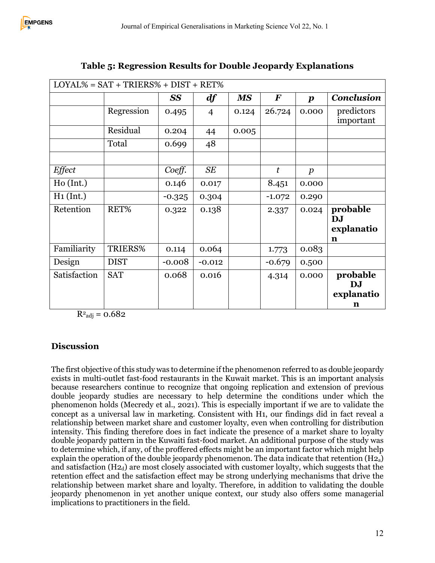| $LOYAL% = SAT + TRIERS% + DIST + RET%$ |             |           |                |       |          |                  |                   |
|----------------------------------------|-------------|-----------|----------------|-------|----------|------------------|-------------------|
|                                        |             | <b>SS</b> | df             | MS    | $\bm{F}$ | $\boldsymbol{p}$ | <b>Conclusion</b> |
|                                        | Regression  | 0.495     | $\overline{4}$ | 0.124 | 26.724   | 0.000            | predictors        |
|                                        |             |           |                |       |          |                  | important         |
|                                        | Residual    | 0.204     | 44             | 0.005 |          |                  |                   |
|                                        | Total       | 0.699     | 48             |       |          |                  |                   |
|                                        |             |           |                |       |          |                  |                   |
| <b>Effect</b>                          |             | Coeff.    | <b>SE</b>      |       | t        | $\boldsymbol{p}$ |                   |
| Ho(Int.)                               |             | 0.146     | 0.017          |       | 8.451    | 0.000            |                   |
| $H_1$ (Int.)                           |             | $-0.325$  | 0.304          |       | $-1.072$ | 0.290            |                   |
| Retention                              | RET%        | 0.322     | 0.138          |       | 2.337    | 0.024            | probable          |
|                                        |             |           |                |       |          |                  | <b>DJ</b>         |
|                                        |             |           |                |       |          |                  | explanatio        |
|                                        |             |           |                |       |          |                  | n                 |
| Familiarity                            | TRIERS%     | 0.114     | 0.064          |       | 1.773    | 0.083            |                   |
| Design                                 | <b>DIST</b> | $-0.008$  | $-0.012$       |       | $-0.679$ | 0.500            |                   |
| Satisfaction                           | <b>SAT</b>  | 0.068     | 0.016          |       | 4.314    | 0.000            | probable          |
|                                        |             |           |                |       |          |                  | DJ                |
|                                        |             |           |                |       |          |                  | explanatio        |
|                                        |             |           |                |       |          |                  | n                 |

## **Table 5: Regression Results for Double Jeopardy Explanations**

 $R^2$ <sub>adj</sub> = 0.682

## **Discussion**

The first objective of this study was to determine if the phenomenon referred to as double jeopardy exists in multi-outlet fast-food restaurants in the Kuwait market. This is an important analysis because researchers continue to recognize that ongoing replication and extension of previous double jeopardy studies are necessary to help determine the conditions under which the phenomenon holds (Mecredy et al., 2021). This is especially important if we are to validate the concept as a universal law in marketing. Consistent with H1, our findings did in fact reveal a relationship between market share and customer loyalty, even when controlling for distribution intensity. This finding therefore does in fact indicate the presence of a market share to loyalty double jeopardy pattern in the Kuwaiti fast-food market. An additional purpose of the study was to determine which, if any, of the proffered effects might be an important factor which might help explain the operation of the double jeopardy phenomenon. The data indicate that retention  $(H_{2a})$ and satisfaction  $(H_{2d})$  are most closely associated with customer loyalty, which suggests that the retention effect and the satisfaction effect may be strong underlying mechanisms that drive the relationship between market share and loyalty. Therefore, in addition to validating the double jeopardy phenomenon in yet another unique context, our study also offers some managerial implications to practitioners in the field.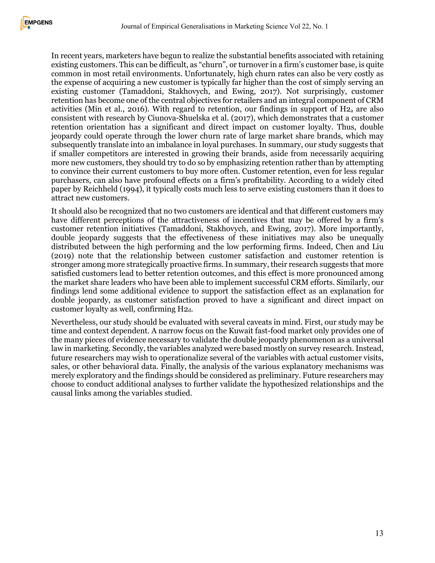In recent years, marketers have begun to realize the substantial benefits associated with retaining existing customers. This can be difficult, as "churn", or turnover in a firm's customer base, is quite common in most retail environments. Unfortunately, high churn rates can also be very costly as the expense of acquiring a new customer is typically far higher than the cost of simply serving an existing customer (Tamaddoni, Stakhovych, and Ewing, 2017). Not surprisingly, customer retention has become one of the central objectives for retailers and an integral component of CRM activities (Min et al., 2016). With regard to retention, our findings in support of  $H_2$  are also consistent with research by Ciunova-Shuelska et al. (2017), which demonstrates that a customer retention orientation has a significant and direct impact on customer loyalty. Thus, double jeopardy could operate through the lower churn rate of large market share brands, which may subsequently translate into an imbalance in loyal purchases. In summary, our study suggests that if smaller competitors are interested in growing their brands, aside from necessarily acquiring more new customers, they should try to do so by emphasizing retention rather than by attempting to convince their current customers to buy more often. Customer retention, even for less regular purchasers, can also have profound effects on a firm's profitability. According to a widely cited paper by Reichheld (1994), it typically costs much less to serve existing customers than it does to attract new customers.

It should also be recognized that no two customers are identical and that different customers may have different perceptions of the attractiveness of incentives that may be offered by a firm's customer retention initiatives (Tamaddoni, Stakhovych, and Ewing, 2017). More importantly, double jeopardy suggests that the effectiveness of these initiatives may also be unequally distributed between the high performing and the low performing firms. Indeed, Chen and Liu (2019) note that the relationship between customer satisfaction and customer retention is stronger among more strategically proactive firms. In summary, their research suggests that more satisfied customers lead to better retention outcomes, and this effect is more pronounced among the market share leaders who have been able to implement successful CRM efforts. Similarly, our findings lend some additional evidence to support the satisfaction effect as an explanation for double jeopardy, as customer satisfaction proved to have a significant and direct impact on customer loyalty as well, confirming H2d.

Nevertheless, our study should be evaluated with several caveats in mind. First, our study may be time and context dependent. A narrow focus on the Kuwait fast-food market only provides one of the many pieces of evidence necessary to validate the double jeopardy phenomenon as a universal law in marketing. Secondly, the variables analyzed were based mostly on survey research. Instead, future researchers may wish to operationalize several of the variables with actual customer visits, sales, or other behavioral data. Finally, the analysis of the various explanatory mechanisms was merely exploratory and the findings should be considered as preliminary. Future researchers may choose to conduct additional analyses to further validate the hypothesized relationships and the causal links among the variables studied.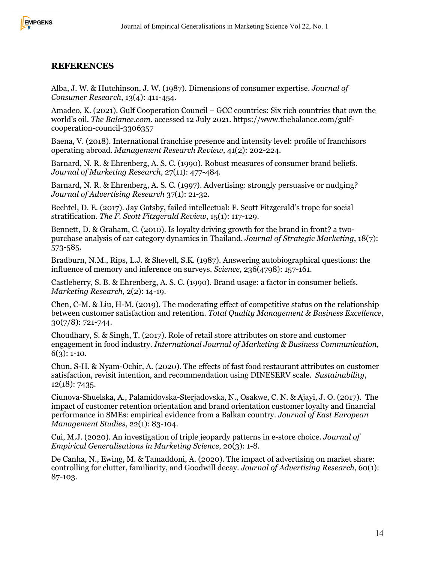#### **REFERENCES**

Alba, J. W. & Hutchinson, J. W. (1987). Dimensions of consumer expertise. *Journal of Consumer Research*, 13(4): 411-454.

Amadeo, K. (2021). Gulf Cooperation Council – GCC countries: Six rich countries that own the world's oil. *The Balance.com.* accessed 12 July 2021. https://www.thebalance.com/gulfcooperation-council-3306357

Baena, V. (2018). International franchise presence and intensity level: profile of franchisors operating abroad. *Management Research Review*, 41(2): 202-224.

Barnard, N. R. & Ehrenberg, A. S. C. (1990). Robust measures of consumer brand beliefs. *Journal of Marketing Research*, 27(11): 477-484.

Barnard, N. R. & Ehrenberg, A. S. C. (1997). Advertising: strongly persuasive or nudging? *Journal of Advertising Research* 37(1): 21-32.

Bechtel, D. E. (2017). Jay Gatsby, failed intellectual: F. Scott Fitzgerald's trope for social stratification. *The F. Scott Fitzgerald Review*, 15(1): 117-129.

Bennett, D. & Graham, C. (2010). Is loyalty driving growth for the brand in front? a twopurchase analysis of car category dynamics in Thailand. *Journal of Strategic Marketing*, 18(7): 573-585.

Bradburn, N.M., Rips, L.J. & Shevell, S.K. (1987). Answering autobiographical questions: the influence of memory and inference on surveys. *Science*, 236(4798): 157-161.

Castleberry, S. B. & Ehrenberg, A. S. C. (1990). Brand usage: a factor in consumer beliefs. *Marketing Research*, 2(2): 14-19.

Chen, C-M. & Liu, H-M. (2019). The moderating effect of competitive status on the relationship between customer satisfaction and retention. *Total Quality Management & Business Excellence*, 30(7/8): 721-744.

Choudhary, S. & Singh, T. (2017). Role of retail store attributes on store and customer engagement in food industry. *International Journal of Marketing & Business Communication*,  $6(3)$ : 1-10.

Chun, S-H. & Nyam-Ochir, A. (2020). The effects of fast food restaurant attributes on customer satisfaction, revisit intention, and recommendation using DINESERV scale. *Sustainability*, 12(18): 7435.

Ciunova-Shuelska, A., Palamidovska-Sterjadovska, N., Osakwe, C. N. & Ajayi, J. O. (2017). The impact of customer retention orientation and brand orientation customer loyalty and financial performance in SMEs: empirical evidence from a Balkan country. *Journal of East European Management Studies*, 22(1): 83-104.

Cui, M.J. (2020). An investigation of triple jeopardy patterns in e-store choice. *Journal of Empirical Generalisations in Marketing Science*, 20(3): 1-8.

De Canha, N., Ewing, M. & Tamaddoni, A. (2020). The impact of advertising on market share: controlling for clutter, familiarity, and Goodwill decay. *Journal of Advertising Research*, 60(1): 87-103.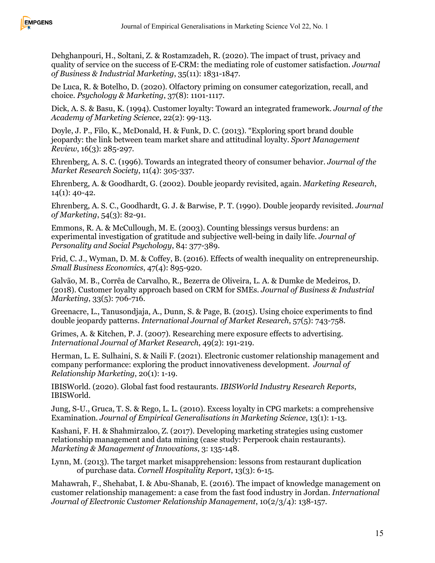

Dehghanpouri, H., Soltani, Z. & Rostamzadeh, R. (2020). The impact of trust, privacy and quality of service on the success of E-CRM: the mediating role of customer satisfaction. *Journal of Business & Industrial Marketing*, 35(11): 1831-1847.

De Luca, R. & Botelho, D. (2020). Olfactory priming on consumer categorization, recall, and choice. *Psychology & Marketing*, 37(8): 1101-1117.

Dick, A. S. & Basu, K. (1994). Customer loyalty: Toward an integrated framework. *Journal of the Academy of Marketing Science*, 22(2): 99-113.

Doyle, J. P., Filo, K., McDonald, H. & Funk, D. C. (2013). "Exploring sport brand double jeopardy: the link between team market share and attitudinal loyalty. *Sport Management Review*, 16(3): 285-297.

Ehrenberg, A. S. C. (1996). Towards an integrated theory of consumer behavior. *Journal of the Market Research Society*, 11(4): 305-337.

Ehrenberg, A. & Goodhardt, G. (2002). Double jeopardy revisited, again. *Marketing Research*, 14(1): 40-42.

Ehrenberg, A. S. C., Goodhardt, G. J. & Barwise, P. T. (1990). Double jeopardy revisited. *Journal of Marketing*, 54(3): 82-91.

Emmons, R. A. & McCullough, M. E. (2003). Counting blessings versus burdens: an experimental investigation of gratitude and subjective well-being in daily life. *Journal of Personality and Social Psychology*, 84: 377-389.

Frid, C. J., Wyman, D. M. & Coffey, B. (2016). Effects of wealth inequality on entrepreneurship. *Small Business Economics*, 47(4): 895-920.

Galvão, M. B., Corrêa de Carvalho, R., Bezerra de Oliveira, L. A. & Dumke de Medeiros, D. (2018). Customer loyalty approach based on CRM for SMEs. *Journal of Business & Industrial Marketing*, 33(5): 706-716.

Greenacre, L., Tanusondjaja, A., Dunn, S. & Page, B. (2015). Using choice experiments to find double jeopardy patterns. *International Journal of Market Research*, 57(5): 743-758.

Grimes, A. & Kitchen, P. J. (2007). Researching mere exposure effects to advertising. *International Journal of Market Research*, 49(2): 191-219.

Herman, L. E. Sulhaini, S. & Naili F. (2021). Electronic customer relationship management and company performance: exploring the product innovativeness development. *Journal of Relationship Marketing*, 20(1): 1-19.

IBISWorld. (2020). Global fast food restaurants. *IBISWorld Industry Research Reports*, IBISWorld.

Jung, S-U., Gruca, T. S. & Rego, L. L. (2010). Excess loyalty in CPG markets: a comprehensive Examination. *Journal of Empirical Generalisations in Marketing Science*, 13(1): 1-13.

Kashani, F. H. & Shahmirzaloo, Z. (2017). Developing marketing strategies using customer relationship management and data mining (case study: Perperook chain restaurants). *Marketing & Management of Innovations*, 3: 135-148.

Lynn, M. (2013). The target market misapprehension: lessons from restaurant duplication of purchase data. *Cornell Hospitality Report*, 13(3): 6-15.

Mahawrah, F., Shehabat, I. & Abu-Shanab, E. (2016). The impact of knowledge management on customer relationship management: a case from the fast food industry in Jordan. *International Journal of Electronic Customer Relationship Management*, 10(2/3/4): 138-157.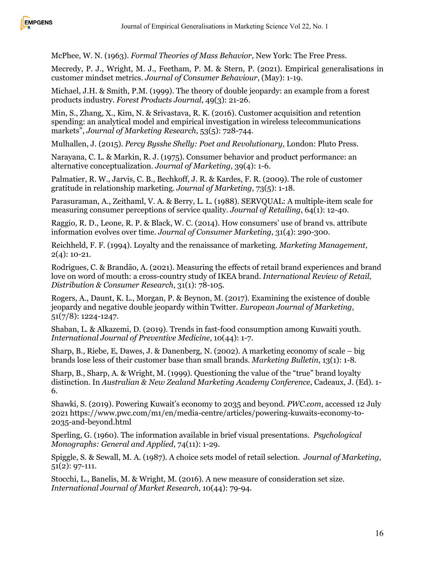

McPhee, W. N. (1963). *Formal Theories of Mass Behavior*, New York: The Free Press.

Mecredy, P. J., Wright, M. J., Feetham, P. M. & Stern, P. (2021). Empirical generalisations in customer mindset metrics. *Journal of Consumer Behaviour*, (May): 1-19.

Michael, J.H. & Smith, P.M. (1999). The theory of double jeopardy: an example from a forest products industry. *Forest Products Journal*, 49(3): 21-26.

Min, S., Zhang, X., Kim, N. & Srivastava, R. K. (2016). Customer acquisition and retention spending: an analytical model and empirical investigation in wireless telecommunications markets", *Journal of Marketing Research*, 53(5): 728-744.

Mulhallen, J. (2015). *Percy Bysshe Shelly: Poet and Revolutionary*, London: Pluto Press.

Narayana, C. L. & Markin, R. J. (1975). Consumer behavior and product performance: an alternative conceptualization. *Journal of Marketing*, 39(4): 1-6.

Palmatier, R. W., Jarvis, C. B., Bechkoff, J. R. & Kardes, F. R. (2009). The role of customer gratitude in relationship marketing. *Journal of Marketing*, 73(5): 1-18.

Parasuraman, A., Zeithaml, V. A. & Berry, L. L. (1988). SERVQUAL: A multiple-item scale for measuring consumer perceptions of service quality. *Journal of Retailing*, 64(1): 12-40.

Raggio, R. D., Leone, R. P. & Black, W. C. (2014). How consumers' use of brand vs. attribute information evolves over time. *Journal of Consumer Marketing*, 31(4): 290-300.

Reichheld, F. F. (1994). Loyalty and the renaissance of marketing. *Marketing Management*, 2(4): 10-21.

Rodrigues, C. & Brandão, A. (2021). Measuring the effects of retail brand experiences and brand love on word of mouth: a cross-country study of IKEA brand. *International Review of Retail, Distribution & Consumer Research*, 31(1): 78-105.

Rogers, A., Daunt, K. L., Morgan, P. & Beynon, M. (2017). Examining the existence of double jeopardy and negative double jeopardy within Twitter. *European Journal of Marketing*, 51(7/8): 1224-1247.

Shaban, L. & Alkazemi, D. (2019). Trends in fast-food consumption among Kuwaiti youth. *International Journal of Preventive Medicine*, 10(44): 1-7.

Sharp, B., Riebe, E, Dawes, J. & Danenberg, N. (2002). A marketing economy of scale – big brands lose less of their customer base than small brands. *Marketing Bulletin*, 13(1): 1-8.

Sharp, B., Sharp, A. & Wright, M. (1999). Questioning the value of the "true" brand loyalty distinction. In *Australian & New Zealand Marketing Academy Conference*, Cadeaux, J. (Ed). 1- 6.

Shawki, S. (2019). Powering Kuwait's economy to 2035 and beyond. *PWC.com*, accessed 12 July 2021 https://www.pwc.com/m1/en/media-centre/articles/powering-kuwaits-economy-to-2035-and-beyond.html

Sperling, G. (1960). The information available in brief visual presentations. *Psychological Monographs: General and Applied*, 74(11): 1-29.

Spiggle, S. & Sewall, M. A. (1987). A choice sets model of retail selection. *Journal of Marketing*, 51(2): 97-111.

Stocchi, L., Banelis, M. & Wright, M. (2016). A new measure of consideration set size. *International Journal of Market Research*, 10(44): 79-94.